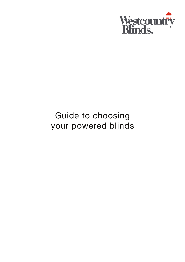

# Guide to choosing your powered blinds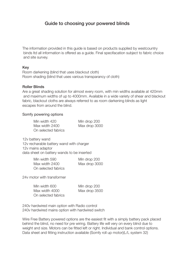# Guide to choosing your powered blinds

The information provided in this guide is based on products supplied by westcountry binds ltd all information is offered as a guide. Final specifacation subject to fabric choice and site survey.

#### Key

Room darkening (blind that uses blackout cloth) Room shading (blind that uses various transparancy of cloth)

#### Roller Blinds

Are a great shading solution for almost every room, with min widths available at 420mm and maximum widths of up to 4000mm. Available in a wide variety of shear and blackout fabric, blackout cloths are always referred to as room darkening blinds as light escapes from around the blind.

#### Somfy powering options

| Min width 420       | Min drop 200  |
|---------------------|---------------|
| Max width 2400      | Max drop 3000 |
| On selected fabrics |               |

12v battery wand 12v recharable battery wand with charger 12v mains adaptor data sheet on battery wands to be inserted

| Min width 590       | Min drop 200  |
|---------------------|---------------|
| Max width 2400      | Max drop 3000 |
| On selected fabrics |               |

24v motor with transformer

| Min width 600       | Min drop 200  |
|---------------------|---------------|
| Max width 4000      | Max drop 3500 |
| On selected fabrics |               |

240v hardwired main option with Radio control 240v hardwired mains option with hardwired switch

Wire Free Battery powered options are the easiest fit with a simply battery pack placed behind the blind, no need for pre wiring. Battery life will very on every blind due to weight and size. Motors can be fitted left or right. Individual and bank control options. Data sheet and fitting instruction available (Somfy roll up motor)(L/L system 32)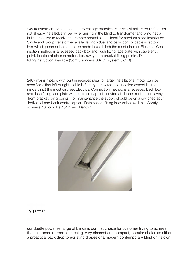24v transformer options, no need to change batteries, relatively simple retro fit if cables not already installed, thin bell wire runs from the blind to transformer and blind has a built in receiver to receive the remote control signal. Ideal for medium sized installation. Single and group transformer available, individual and bank control cable is factory hardwired, (connection cannot be made inside blind) the most discreet Electrical Connection method is a recessed back box and flush fitting face plate with cable entry point, located at chosen motor side, away from bracket fixing points . Data sheets fitting instruction available (Somfy sonness 30)(L/L system 32/40)

240v mains motors with built in receiver, ideal for larger installations, motor can be specified either left or right, cable is factory hardwired, (connection cannot be made inside blind) the most discreet Electrical Connection method is a recessed back box and flush fitting face plate with cable entry point, located at chosen motor side, away from bracket fixing points. For maintenance the supply should be on a switched spur. Individual and bank control option. Data sheets fitting instruction available (Somfy sonness 40)(louvolite 40/45 and Benthin)



#### **DUETTE®**

our duette powerise range of blinds is our first choice for customer trying to achieve the best possible room darkening, very discreet and compact, popular choice as either a proactical back drop to exsisting drapes or a modern contemporary blind on its own.